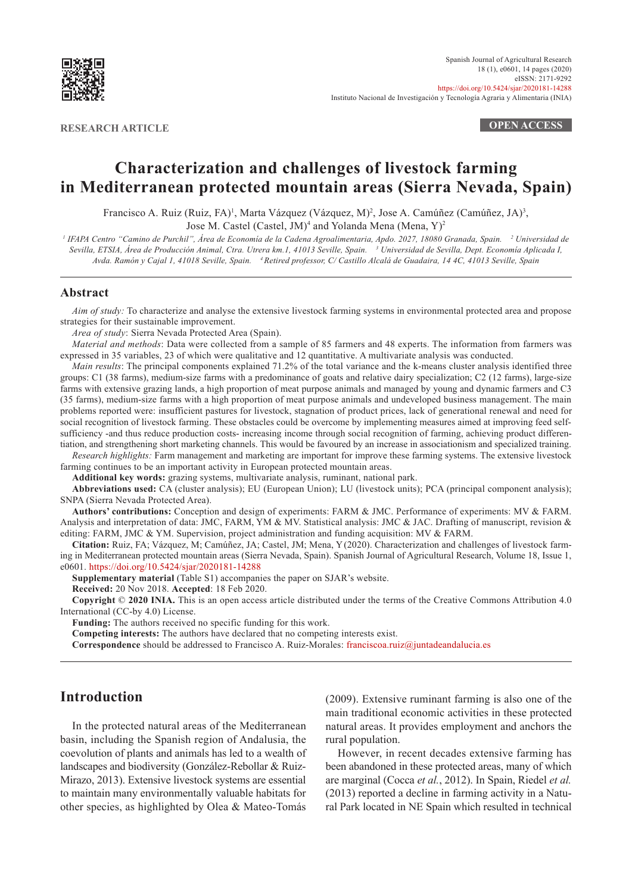

**RESEARCH ARTICLE OPEN ACCESS**

# **Characterization and challenges of livestock farming in Mediterranean protected mountain areas (Sierra Nevada, Spain)**

Francisco A. Ruiz (Ruiz, FA)<sup>1</sup>, Marta Vázquez (Vázquez, M)<sup>2</sup>, Jose A. Camúñez (Camúñez, JA)<sup>3</sup>, Jose M. Castel (Castel, JM)<sup>4</sup> and Yolanda Mena (Mena, Y)<sup>2</sup>

*1 IFAPA Centro "Camino de Purchil", Área de Economía de la Cadena Agroalimentaria, Apdo. 2027, 18080 Granada, Spain. <sup>2</sup> Universidad de Sevilla, ETSIA, Área de Producción Animal, Ctra. Utrera km.1, 41013 Seville, Spain. <sup>3</sup> Universidad de Sevilla, Dept. Economía Aplicada I, Avda. Ramón y Cajal 1, 41018 Seville, Spain. 4 Retired professor, C/ Castillo Alcalá de Guadaira, 14 4C, 41013 Seville, Spain*

### **Abstract**

*Aim of study:* To characterize and analyse the extensive livestock farming systems in environmental protected area and propose strategies for their sustainable improvement.

*Area of study*: Sierra Nevada Protected Area (Spain).

*Material and methods*: Data were collected from a sample of 85 farmers and 48 experts. The information from farmers was expressed in 35 variables, 23 of which were qualitative and 12 quantitative. A multivariate analysis was conducted.

*Main results*: The principal components explained 71.2% of the total variance and the k-means cluster analysis identified three groups: C1 (38 farms), medium-size farms with a predominance of goats and relative dairy specialization; C2 (12 farms), large-size farms with extensive grazing lands, a high proportion of meat purpose animals and managed by young and dynamic farmers and C3 (35 farms), medium-size farms with a high proportion of meat purpose animals and undeveloped business management. The main problems reported were: insufficient pastures for livestock, stagnation of product prices, lack of generational renewal and need for social recognition of livestock farming. These obstacles could be overcome by implementing measures aimed at improving feed selfsufficiency -and thus reduce production costs- increasing income through social recognition of farming, achieving product differentiation, and strengthening short marketing channels. This would be favoured by an increase in associationism and specialized training.

*Research highlights:* Farm management and marketing are important for improve these farming systems. The extensive livestock farming continues to be an important activity in European protected mountain areas.

**Additional key words:** grazing systems, multivariate analysis, ruminant, national park.

**Abbreviations used:** CA (cluster analysis); EU (European Union); LU (livestock units); PCA (principal component analysis); SNPA (Sierra Nevada Protected Area).

**Authors' contributions:** Conception and design of experiments: FARM & JMC. Performance of experiments: MV & FARM. Analysis and interpretation of data: JMC, FARM, YM & MV. Statistical analysis: JMC & JAC. Drafting of manuscript, revision & editing: FARM, JMC & YM. Supervision, project administration and funding acquisition: MV & FARM.

**Citation:** Ruiz, FA; Vázquez, M; Camúñez, JA; Castel, JM; Mena, Y(2020). Characterization and challenges of livestock farming in Mediterranean protected mountain areas (Sierra Nevada, Spain). Spanish Journal of Agricultural Research, Volume 18, Issue 1, e0601. <https://doi.org/10.5424/sjar/2020181-14288>

**Supplementary material** (Table S1) accompanies the paper on SJAR's website.

**Received:** 20 Nov 2018. **Accepted**: 18 Feb 2020.

**Copyright** © **2020 INIA.** This is an open access article distributed under the terms of the Creative Commons Attribution 4.0 International (CC-by 4.0) License.

**Funding:** The authors received no specific funding for this work.

**Competing interests:** The authors have declared that no competing interests exist.

**Correspondence** should be addressed to Francisco A. Ruiz-Morales: [franciscoa.ruiz@juntadeandalucia.es](mailto:franciscoa.ruiz%40juntadeandalucia.es?subject=)

## **Introduction**

In the protected natural areas of the Mediterranean basin, including the Spanish region of Andalusia, the coevolution of plants and animals has led to a wealth of landscapes and biodiversity (González-Rebollar & Ruiz-Mirazo, 2013). Extensive livestock systems are essential to maintain many environmentally valuable habitats for other species, as highlighted by Olea & Mateo-Tomás

(2009). Extensive ruminant farming is also one of the main traditional economic activities in these protected natural areas. It provides employment and anchors the rural population.

However, in recent decades extensive farming has been abandoned in these protected areas, many of which are marginal (Cocca *et al.*, 2012). In Spain, Riedel *et al.* (2013) reported a decline in farming activity in a Natural Park located in NE Spain which resulted in technical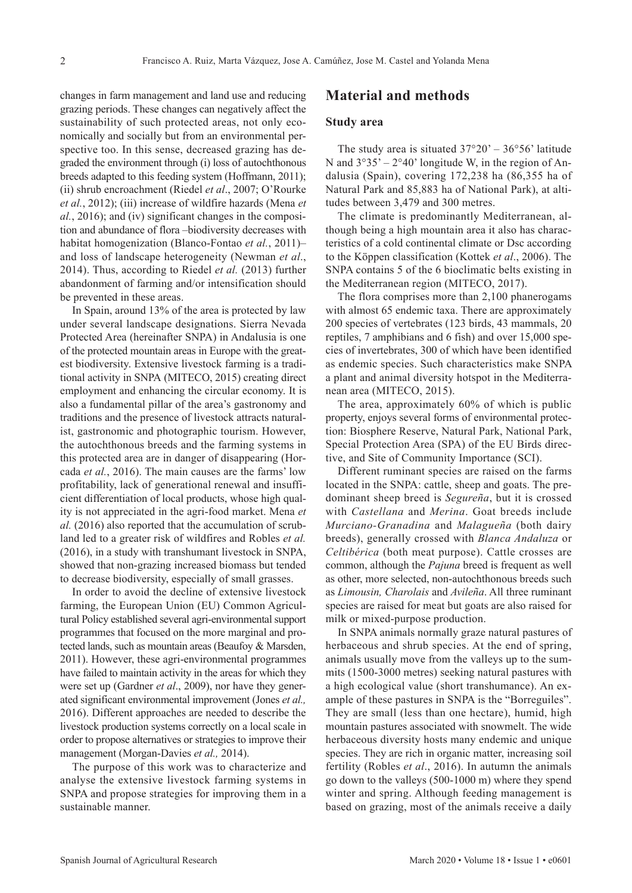changes in farm management and land use and reducing grazing periods. These changes can negatively affect the sustainability of such protected areas, not only economically and socially but from an environmental perspective too. In this sense, decreased grazing has degraded the environment through (i) loss of autochthonous breeds adapted to this feeding system (Hoffmann, 2011); (ii) shrub encroachment (Riedel *et al*., 2007; O'Rourke *et al.*, 2012); (iii) increase of wildfire hazards (Mena *et al.*, 2016); and (iv) significant changes in the composition and abundance of flora –biodiversity decreases with habitat homogenization (Blanco-Fontao *et al.*, 2011)– and loss of landscape heterogeneity (Newman *et al*., 2014). Thus, according to Riedel *et al.* (2013) further abandonment of farming and/or intensification should be prevented in these areas.

In Spain, around 13% of the area is protected by law under several landscape designations. Sierra Nevada Protected Area (hereinafter SNPA) in Andalusia is one of the protected mountain areas in Europe with the greatest biodiversity. Extensive livestock farming is a traditional activity in SNPA (MITECO, 2015) creating direct employment and enhancing the circular economy. It is also a fundamental pillar of the area's gastronomy and traditions and the presence of livestock attracts naturalist, gastronomic and photographic tourism. However, the autochthonous breeds and the farming systems in this protected area are in danger of disappearing (Horcada *et al.*, 2016). The main causes are the farms' low profitability, lack of generational renewal and insufficient differentiation of local products, whose high quality is not appreciated in the agri-food market. Mena *et al.* (2016) also reported that the accumulation of scrubland led to a greater risk of wildfires and Robles *et al.* (2016), in a study with transhumant livestock in SNPA, showed that non-grazing increased biomass but tended to decrease biodiversity, especially of small grasses.

In order to avoid the decline of extensive livestock farming, the European Union (EU) Common Agricultural Policy established several agri-environmental support programmes that focused on the more marginal and protected lands, such as mountain areas (Beaufoy & Marsden, 2011). However, these agri-environmental programmes have failed to maintain activity in the areas for which they were set up (Gardner *et al*., 2009), nor have they generated significant environmental improvement (Jones *et al.,* 2016). Different approaches are needed to describe the livestock production systems correctly on a local scale in order to propose alternatives or strategies to improve their management (Morgan-Davies *et al.,* 2014).

The purpose of this work was to characterize and analyse the extensive livestock farming systems in SNPA and propose strategies for improving them in a sustainable manner.

### **Material and methods**

#### **Study area**

The study area is situated  $37^{\circ}20' - 36^{\circ}56'$  latitude N and  $3^{\circ}35' - 2^{\circ}40'$  longitude W, in the region of Andalusia (Spain), covering 172,238 ha (86,355 ha of Natural Park and 85,883 ha of National Park), at altitudes between 3,479 and 300 metres.

The climate is predominantly Mediterranean, although being a high mountain area it also has characteristics of a cold continental climate or Dsc according to the Köppen classification (Kottek *et al*., 2006). The SNPA contains 5 of the 6 bioclimatic belts existing in the Mediterranean region (MITECO, 2017).

The flora comprises more than 2,100 phanerogams with almost 65 endemic taxa. There are approximately 200 species of vertebrates (123 birds, 43 mammals, 20 reptiles, 7 amphibians and 6 fish) and over 15,000 species of invertebrates, 300 of which have been identified as endemic species. Such characteristics make SNPA a plant and animal diversity hotspot in the Mediterranean area (MITECO, 2015).

The area, approximately 60% of which is public property, enjoys several forms of environmental protection: Biosphere Reserve, Natural Park, National Park, Special Protection Area (SPA) of the EU Birds directive, and Site of Community Importance (SCI).

Different ruminant species are raised on the farms located in the SNPA: cattle, sheep and goats. The predominant sheep breed is *Segureña*, but it is crossed with *Castellana* and *Merina*. Goat breeds include *Murciano-Granadina* and *Malagueña* (both dairy breeds), generally crossed with *Blanca Andaluza* or *Celtibérica* (both meat purpose). Cattle crosses are common, although the *Pajuna* breed is frequent as well as other, more selected, non-autochthonous breeds such as *Limousin, Charolais* and *Avileña*. All three ruminant species are raised for meat but goats are also raised for milk or mixed-purpose production.

In SNPA animals normally graze natural pastures of herbaceous and shrub species. At the end of spring, animals usually move from the valleys up to the summits (1500-3000 metres) seeking natural pastures with a high ecological value (short transhumance). An example of these pastures in SNPA is the "Borreguiles". They are small (less than one hectare), humid, high mountain pastures associated with snowmelt. The wide herbaceous diversity hosts many endemic and unique species. They are rich in organic matter, increasing soil fertility (Robles *et al*., 2016). In autumn the animals go down to the valleys (500-1000 m) where they spend winter and spring. Although feeding management is based on grazing, most of the animals receive a daily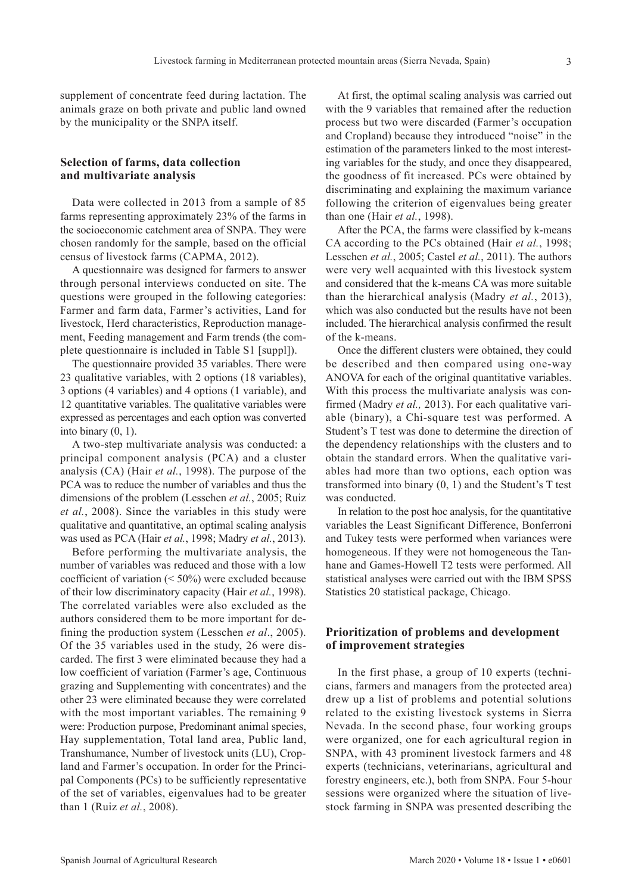supplement of concentrate feed during lactation. The animals graze on both private and public land owned by the municipality or the SNPA itself.

#### **Selection of farms, data collection and multivariate analysis**

Data were collected in 2013 from a sample of 85 farms representing approximately 23% of the farms in the socioeconomic catchment area of SNPA. They were chosen randomly for the sample, based on the official census of livestock farms (CAPMA, 2012).

A questionnaire was designed for farmers to answer through personal interviews conducted on site. The questions were grouped in the following categories: Farmer and farm data, Farmer's activities, Land for livestock, Herd characteristics, Reproduction management, Feeding management and Farm trends (the complete questionnaire is included in Table S1 [suppl]).

The questionnaire provided 35 variables. There were 23 qualitative variables, with 2 options (18 variables), 3 options (4 variables) and 4 options (1 variable), and 12 quantitative variables. The qualitative variables were expressed as percentages and each option was converted into binary  $(0, 1)$ .

A two-step multivariate analysis was conducted: a principal component analysis (PCA) and a cluster analysis (CA) (Hair *et al.*, 1998). The purpose of the PCA was to reduce the number of variables and thus the dimensions of the problem (Lesschen *et al.*, 2005; Ruiz *et al.*, 2008). Since the variables in this study were qualitative and quantitative, an optimal scaling analysis was used as PCA (Hair *et al.*, 1998; Madry *et al.*, 2013).

Before performing the multivariate analysis, the number of variables was reduced and those with a low coefficient of variation (< 50%) were excluded because of their low discriminatory capacity (Hair *et al.*, 1998). The correlated variables were also excluded as the authors considered them to be more important for defining the production system (Lesschen *et al*., 2005). Of the 35 variables used in the study, 26 were discarded. The first 3 were eliminated because they had a low coefficient of variation (Farmer's age, Continuous grazing and Supplementing with concentrates) and the other 23 were eliminated because they were correlated with the most important variables. The remaining 9 were: Production purpose, Predominant animal species, Hay supplementation, Total land area, Public land, Transhumance, Number of livestock units (LU), Cropland and Farmer's occupation. In order for the Principal Components (PCs) to be sufficiently representative of the set of variables, eigenvalues had to be greater than 1 (Ruiz *et al.*, 2008).

At first, the optimal scaling analysis was carried out with the 9 variables that remained after the reduction process but two were discarded (Farmer's occupation and Cropland) because they introduced "noise" in the estimation of the parameters linked to the most interesting variables for the study, and once they disappeared, the goodness of fit increased. PCs were obtained by discriminating and explaining the maximum variance following the criterion of eigenvalues being greater than one (Hair *et al.*, 1998).

After the PCA, the farms were classified by k-means CA according to the PCs obtained (Hair *et al.*, 1998; Lesschen *et al.*, 2005; Castel *et al.*, 2011). The authors were very well acquainted with this livestock system and considered that the k-means CA was more suitable than the hierarchical analysis (Madry *et al.*, 2013), which was also conducted but the results have not been included. The hierarchical analysis confirmed the result of the k-means.

Once the different clusters were obtained, they could be described and then compared using one-way ANOVA for each of the original quantitative variables. With this process the multivariate analysis was confirmed (Madry *et al.,* 2013). For each qualitative variable (binary), a Chi-square test was performed. A Student's T test was done to determine the direction of the dependency relationships with the clusters and to obtain the standard errors. When the qualitative variables had more than two options, each option was transformed into binary (0, 1) and the Student's T test was conducted.

In relation to the post hoc analysis, for the quantitative variables the Least Significant Difference, Bonferroni and Tukey tests were performed when variances were homogeneous. If they were not homogeneous the Tanhane and Games-Howell T2 tests were performed. All statistical analyses were carried out with the IBM SPSS Statistics 20 statistical package, Chicago.

### **Prioritization of problems and development of improvement strategies**

In the first phase, a group of 10 experts (technicians, farmers and managers from the protected area) drew up a list of problems and potential solutions related to the existing livestock systems in Sierra Nevada. In the second phase, four working groups were organized, one for each agricultural region in SNPA, with 43 prominent livestock farmers and 48 experts (technicians, veterinarians, agricultural and forestry engineers, etc.), both from SNPA. Four 5-hour sessions were organized where the situation of livestock farming in SNPA was presented describing the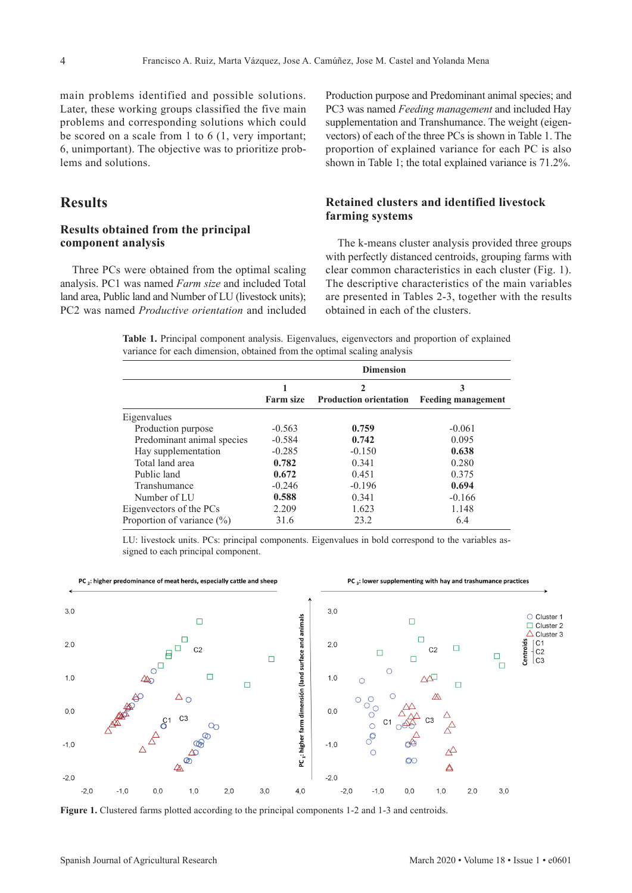main problems identified and possible solutions. Later, these working groups classified the five main problems and corresponding solutions which could be scored on a scale from 1 to 6 (1, very important; 6, unimportant). The objective was to prioritize problems and solutions.

## **Results**

#### **Results obtained from the principal component analysis**

Three PCs were obtained from the optimal scaling analysis. PC1 was named *Farm size* and included Total land area, Public land and Number of LU (livestock units); PC2 was named *Productive orientation* and included

Production purpose and Predominant animal species; and PC3 was named *Feeding management* and included Hay supplementation and Transhumance. The weight (eigenvectors) of each of the three PCs is shown in Table 1. The proportion of explained variance for each PC is also shown in Table 1; the total explained variance is 71.2%.

### **Retained clusters and identified livestock farming systems**

The k-means cluster analysis provided three groups with perfectly distanced centroids, grouping farms with clear common characteristics in each cluster (Fig. 1). The descriptive characteristics of the main variables are presented in Tables 2-3, together with the results obtained in each of the clusters.

**Table 1.** Principal component analysis. Eigenvalues, eigenvectors and proportion of explained variance for each dimension, obtained from the optimal scaling analysis

|                               | <b>Dimension</b> |                               |                                |  |
|-------------------------------|------------------|-------------------------------|--------------------------------|--|
|                               | <b>Farm size</b> | <b>Production orientation</b> | 3<br><b>Feeding management</b> |  |
| Eigenvalues                   |                  |                               |                                |  |
| Production purpose            | $-0.563$         | 0.759                         | $-0.061$                       |  |
| Predominant animal species    | $-0.584$         | 0.742                         | 0.095                          |  |
| Hay supplementation           | $-0.285$         | $-0.150$                      | 0.638                          |  |
| Total land area               | 0.782            | 0.341                         | 0.280                          |  |
| Public land                   | 0.672            | 0.451                         | 0.375                          |  |
| Transhumance                  | $-0.246$         | $-0.196$                      | 0.694                          |  |
| Number of LU                  | 0.588            | 0.341                         | $-0.166$                       |  |
| Eigenvectors of the PCs       | 2.209            | 1.623                         | 1.148                          |  |
| Proportion of variance $(\%)$ | 31.6             | 23.2                          | 6.4                            |  |

LU: livestock units. PCs: principal components. Eigenvalues in bold correspond to the variables assigned to each principal component.



Figure 1. Clustered farms plotted according to the principal components 1-2 and 1-3 and centroids.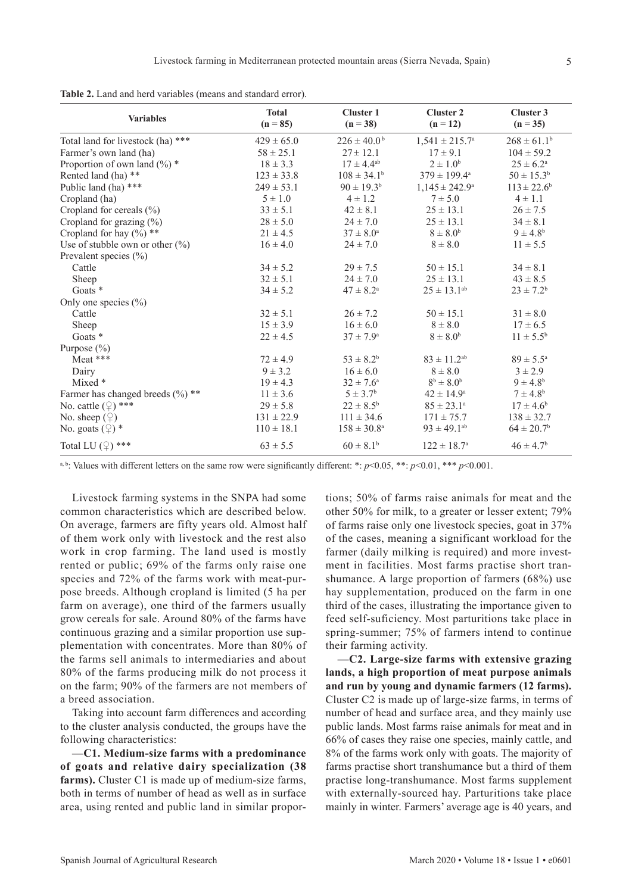|  |  |  |  | Table 2. Land and herd variables (means and standard error). |  |  |  |  |  |
|--|--|--|--|--------------------------------------------------------------|--|--|--|--|--|
|--|--|--|--|--------------------------------------------------------------|--|--|--|--|--|

| <b>Variables</b>                      | <b>Total</b><br>$(n = 85)$ | <b>Cluster 1</b><br>$(n = 38)$ | <b>Cluster 2</b><br>$(n = 12)$ | Cluster 3<br>$(n = 35)$    |
|---------------------------------------|----------------------------|--------------------------------|--------------------------------|----------------------------|
| Total land for livestock (ha) ***     | $429 \pm 65.0$             | $226 \pm 40.0^{\mathrm{b}}$    | $1,541 \pm 215.7^{\circ}$      | $268 \pm 61.1^b$           |
| Farmer's own land (ha)                | $58 \pm 25.1$              | $27 \pm 12.1$                  | $17 \pm 9.1$                   | $104 \pm 59.2$             |
| Proportion of own land $(\%)$ *       | $18 \pm 3.3$               | $17 \pm 4.4^{\rm ab}$          | $2 \pm 1.0^b$                  | $25 \pm 6.2^{\circ}$       |
| Rented land (ha) **                   | $123 \pm 33.8$             | $108 \pm 34.1^b$               | $379 \pm 199.4^{\text{a}}$     | $50 \pm 15.3^b$            |
| Public land (ha) ***                  | $249 \pm 53.1$             | $90 \pm 19.3^b$                | $1,145 \pm 242.9^{\circ}$      | $113 \pm 22.6^b$           |
| Cropland (ha)                         | $5 \pm 1.0$                | $4 \pm 1.2$                    | $7 \pm 5.0$                    | $4 \pm 1.1$                |
| Cropland for cereals $(\% )$          | $33 \pm 5.1$               | $42 \pm 8.1$                   | $25 \pm 13.1$                  | $26 \pm 7.5$               |
| Cropland for grazing $(\%)$           | $28 \pm 5.0$               | $24 \pm 7.0$                   | $25 \pm 13.1$                  | $34 \pm 8.1$               |
| Cropland for hay $(\%)$ **            | $21 \pm 4.5$               | $37 \pm 8.0^{\circ}$           | $8 \pm 8.0^b$                  | $9 \pm 4.8^b$              |
| Use of stubble own or other $(\%)$    | $16 \pm 4.0$               | $24 \pm 7.0$                   | $8 \pm 8.0$                    | $11 \pm 5.5$               |
| Prevalent species $(\% )$             |                            |                                |                                |                            |
| Cattle                                | $34 \pm 5.2$               | $29 \pm 7.5$                   | $50 \pm 15.1$                  | $34 \pm 8.1$               |
| Sheep                                 | $32 \pm 5.1$               | $24 \pm 7.0$                   | $25 \pm 13.1$                  | $43 \pm 8.5$               |
| Goats *                               | $34 \pm 5.2$               | $47 \pm 8.2^{\text{a}}$        | $25 \pm 13.1^{ab}$             | $23 \pm 7.2^b$             |
| Only one species $(\% )$              |                            |                                |                                |                            |
| Cattle                                | $32 \pm 5.1$               | $26 \pm 7.2$                   | $50 \pm 15.1$                  | $31 \pm 8.0$               |
| Sheep                                 | $15 \pm 3.9$               | $16 \pm 6.0$                   | $8 \pm 8.0$                    | $17 \pm 6.5$               |
| Goats *                               | $22 \pm 4.5$               | $37 \pm 7.9^{\circ}$           | $8 \pm 8.0^b$                  | $11 \pm 5.5^{\rm b}$       |
| Purpose $(\% )$                       |                            |                                |                                |                            |
| Meat ***                              | $72 \pm 4.9$               | $53 \pm 8.2^b$                 | $83 \pm 11.2^{ab}$             | $89 \pm 5.5^{\circ}$       |
| Dairy                                 | $9 \pm 3.2$                | $16 \pm 6.0$                   | $8 \pm 8.0$                    | $3 \pm 2.9$                |
| Mixed $*$                             | $19 \pm 4.3$               | $32 \pm 7.6^{\circ}$           | $8^b \pm 8.0^b$                | $9 \pm 4.8^{\rm b}$        |
| Farmer has changed breeds $(\%)^{**}$ | $11 \pm 3.6$               | $5 \pm 3.7^{\rm b}$            | $42 \pm 14.9^{\circ}$          | $7 \pm 4.8^{\rm b}$        |
| No. cattle $(\mathcal{Q})$ ***        | $29 \pm 5.8$               | $22 \pm 8.5^{\rm b}$           | $85 \pm 23.1^{\circ}$          | $17 \pm 4.6^b$             |
| No. sheep $(\mathcal{Q})$             | $131 \pm 22.9$             | $111 \pm 34.6$                 | $171 \pm 75.7$                 | $138 \pm 32.7$             |
| No. goats $(\mathcal{Q})$ *           | $110 \pm 18.1$             | $158 \pm 30.8^a$               | $93 \pm 49.1^{ab}$             | $64 \pm 20.7$ <sup>b</sup> |
| Total LU $(2)$ ***                    | $63 \pm 5.5$               | $60 \pm 8.1^b$                 | $122 \pm 18.7^{\circ}$         | $46 \pm 4.7^b$             |

a, b: Values with different letters on the same row were significantly different: \*: *p*<0.05, \*\*: *p*<0.01, \*\*\* *p*<0.001.

Livestock farming systems in the SNPA had some common characteristics which are described below. On average, farmers are fifty years old. Almost half of them work only with livestock and the rest also work in crop farming. The land used is mostly rented or public; 69% of the farms only raise one species and 72% of the farms work with meat-purpose breeds. Although cropland is limited (5 ha per farm on average), one third of the farmers usually grow cereals for sale. Around 80% of the farms have continuous grazing and a similar proportion use supplementation with concentrates. More than 80% of the farms sell animals to intermediaries and about 80% of the farms producing milk do not process it on the farm; 90% of the farmers are not members of a breed association.

Taking into account farm differences and according to the cluster analysis conducted, the groups have the following characteristics:

**—C1. Medium-size farms with a predominance of goats and relative dairy specialization (38 farms).** Cluster C1 is made up of medium-size farms, both in terms of number of head as well as in surface area, using rented and public land in similar propor-

tions; 50% of farms raise animals for meat and the other 50% for milk, to a greater or lesser extent; 79% of farms raise only one livestock species, goat in 37% of the cases, meaning a significant workload for the farmer (daily milking is required) and more investment in facilities. Most farms practise short transhumance. A large proportion of farmers (68%) use hay supplementation, produced on the farm in one third of the cases, illustrating the importance given to feed self-suficiency. Most parturitions take place in spring-summer; 75% of farmers intend to continue their farming activity.

**—C2. Large-size farms with extensive grazing lands, a high proportion of meat purpose animals and run by young and dynamic farmers (12 farms).**  Cluster C2 is made up of large-size farms, in terms of number of head and surface area, and they mainly use public lands. Most farms raise animals for meat and in 66% of cases they raise one species, mainly cattle, and 8% of the farms work only with goats. The majority of farms practise short transhumance but a third of them practise long-transhumance. Most farms supplement with externally-sourced hay. Parturitions take place mainly in winter. Farmers' average age is 40 years, and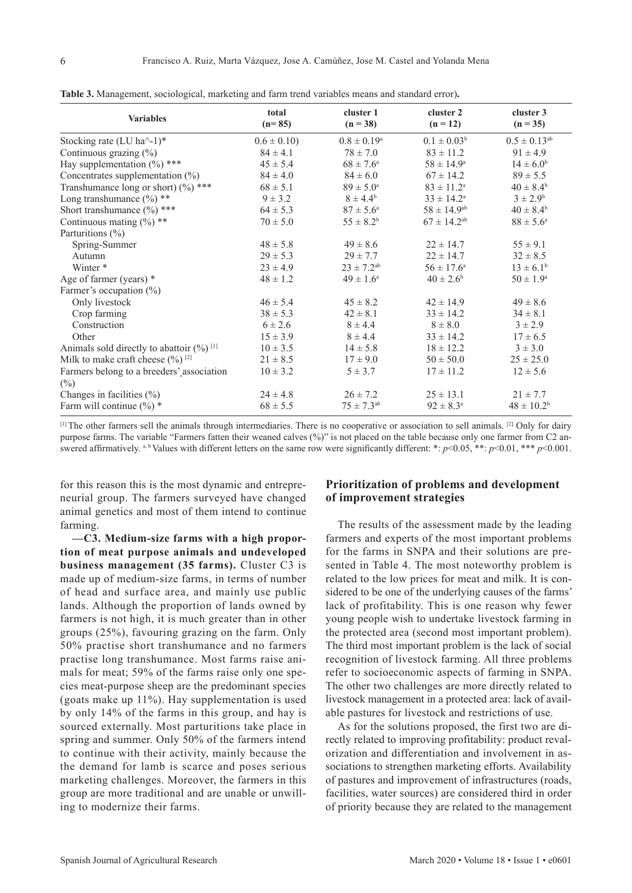| <b>Variables</b>                                                 | total<br>$(n=85)$ | cluster 1<br>$(n = 38)$    | cluster 2<br>$(n = 12)$ | cluster 3<br>$(n = 35)$ |
|------------------------------------------------------------------|-------------------|----------------------------|-------------------------|-------------------------|
| Stocking rate (LU ha $^{\wedge}$ -1)*                            | $0.6 \pm 0.10$    | $0.8 \pm 0.19^{\rm a}$     | $0.1 \pm 0.03^b$        | $0.5 \pm 0.13^{ab}$     |
| Continuous grazing $(\%)$                                        | $84 \pm 4.1$      | $78 \pm 7.0$               | $83 \pm 11.2$           | $91 \pm 4.9$            |
| Hay supplementation $(\%)$ ***                                   | $45 \pm 5.4$      | $68 \pm 7.6^{\circ}$       | $58 \pm 14.9^{\circ}$   | $14 \pm 6.0^b$          |
| Concentrates supplementation $(\%)$                              | $84 \pm 4.0$      | $84 \pm 6.0$               | $67 \pm 14.2$           | $89 \pm 5.5$            |
| Transhumance long or short) $(\%)$ ***                           | $68 \pm 5.1$      | $89 \pm 5.0^{\circ}$       | $83 \pm 11.2^{\circ}$   | $40 \pm 8.4^b$          |
| Long transhumance (%) **                                         | $9 \pm 3.2$       | $8 \pm 4.4^b$              | $33 \pm 14.2^{\circ}$   | $3 \pm 2.9^b$           |
| Short transhumance $(\%)$ ***                                    | $64 \pm 5.3$      | $87 \pm 5.6^{\circ}$       | $58 \pm 14.9^{ab}$      | $40 \pm 8.4^{\rm b}$    |
| Continuous mating $(\%)$ **                                      | $70 \pm 5.0$      | $55 \pm 8.2^b$             | $67 \pm 14.2^{ab}$      | $88 \pm 5.6^{\circ}$    |
| Parturitions (%)                                                 |                   |                            |                         |                         |
| Spring-Summer                                                    | $48 \pm 5.8$      | $49 \pm 8.6$               | $22 \pm 14.7$           | $55 \pm 9.1$            |
| <b>Autumn</b>                                                    | $29 \pm 5.3$      | $29 \pm 7.7$               | $22 \pm 14.7$           | $32 \pm 8.5$            |
| Winter *                                                         | $23 \pm 4.9$      | $23 \pm 7.2$ <sup>ab</sup> | $56 \pm 17.6^{\circ}$   | $13 \pm 6.1^b$          |
| Age of farmer (years) $*$                                        | $48 \pm 1.2$      | $49 \pm 1.6^{\circ}$       | $40 \pm 2.6^b$          | $50 \pm 1.9^{\circ}$    |
| Farmer's occupation (%)                                          |                   |                            |                         |                         |
| Only livestock                                                   | $46 \pm 5.4$      | $45 \pm 8.2$               | $42 \pm 14.9$           | $49 \pm 8.6$            |
| Crop farming                                                     | $38 \pm 5.3$      | $42 \pm 8.1$               | $33 \pm 14.2$           | $34 \pm 8.1$            |
| Construction                                                     | $6 \pm 2.6$       | $8 \pm 4.4$                | $8 \pm 8.0$             | $3 \pm 2.9$             |
| Other                                                            | $15 \pm 3.9$      | $8 \pm 4.4$                | $33 \pm 14.2$           | $17 \pm 6.5$            |
| Animals sold directly to abattoir $(\frac{9}{0})$ <sup>[1]</sup> | $10 \pm 3.5$      | $14 \pm 5.8$               | $18 \pm 12.2$           | $3 \pm 3.0$             |
| Milk to make craft cheese $(\frac{9}{0})^{[2]}$                  | $21 \pm 8.5$      | $17 \pm 9.0$               | $50 \pm 50.0$           | $25 \pm 25.0$           |
| Farmers belong to a breeders' association                        | $10 \pm 3.2$      | $5 \pm 3.7$                | $17 \pm 11.2$           | $12 \pm 5.6$            |
| $(\%)$                                                           |                   |                            |                         |                         |
| Changes in facilities $(\% )$                                    | $24 \pm 4.8$      | $26 \pm 7.2$               | $25 \pm 13.1$           | $21 \pm 7.7$            |
| Farm will continue $(\%)$ *                                      | $68 \pm 5.5$      | $75 \pm 7.3^{ab}$          | $92 \pm 8.3^{\circ}$    | $48 \pm 10.2^b$         |

**Table 3.** Management, sociological, marketing and farm trend variables means and standard error)**.**

[1] The other farmers sell the animals through intermediaries. There is no cooperative or association to sell animals. [2] Only for dairy purpose farms. The variable "Farmers fatten their weaned calves (%)" is not placed on the table because only one farmer from C2 answered affirmatively. a, b Values with different letters on the same row were significantly different: \*: *p*<0.05, \*\*: *p*<0.01, \*\*\* *p*<0.001.

for this reason this is the most dynamic and entrepreneurial group. The farmers surveyed have changed animal genetics and most of them intend to continue farming.

**—C3. Medium-size farms with a high proportion of meat purpose animals and undeveloped business management (35 farms).** Cluster C3 is made up of medium-size farms, in terms of number of head and surface area, and mainly use public lands. Although the proportion of lands owned by farmers is not high, it is much greater than in other groups (25%), favouring grazing on the farm. Only 50% practise short transhumance and no farmers practise long transhumance. Most farms raise animals for meat; 59% of the farms raise only one species meat-purpose sheep are the predominant species (goats make up 11%). Hay supplementation is used by only 14% of the farms in this group, and hay is sourced externally. Most parturitions take place in spring and summer. Only 50% of the farmers intend to continue with their activity, mainly because the the demand for lamb is scarce and poses serious marketing challenges. Moreover, the farmers in this group are more traditional and are unable or unwilling to modernize their farms.

### **Prioritization of problems and development of improvement strategies**

The results of the assessment made by the leading farmers and experts of the most important problems for the farms in SNPA and their solutions are presented in Table 4. The most noteworthy problem is related to the low prices for meat and milk. It is considered to be one of the underlying causes of the farms' lack of profitability. This is one reason why fewer young people wish to undertake livestock farming in the protected area (second most important problem). The third most important problem is the lack of social recognition of livestock farming. All three problems refer to socioeconomic aspects of farming in SNPA. The other two challenges are more directly related to livestock management in a protected area: lack of available pastures for livestock and restrictions of use.

As for the solutions proposed, the first two are directly related to improving profitability: product revalorization and differentiation and involvement in associations to strengthen marketing efforts. Availability of pastures and improvement of infrastructures (roads, facilities, water sources) are considered third in order of priority because they are related to the management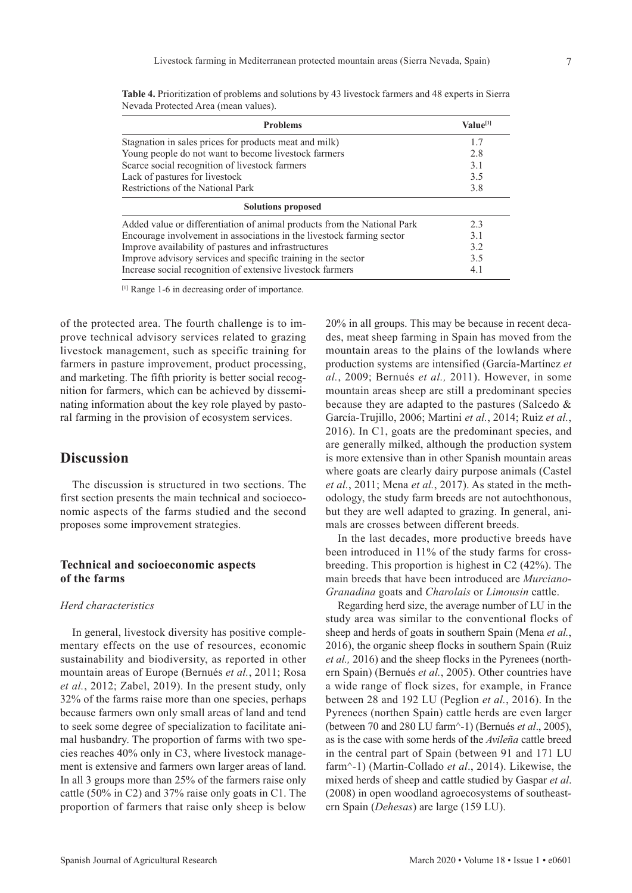| <b>Problems</b>                                                          | Value <sup>[1]</sup> |
|--------------------------------------------------------------------------|----------------------|
| Stagnation in sales prices for products meat and milk)                   | 17                   |
| Young people do not want to become livestock farmers                     | 2.8                  |
| Scarce social recognition of livestock farmers                           | 3.1                  |
| Lack of pastures for livestock                                           | 3.5                  |
| Restrictions of the National Park                                        | 3.8                  |
| <b>Solutions proposed</b>                                                |                      |
| Added value or differentiation of animal products from the National Park | 2.3                  |
| Encourage involvement in associations in the livestock farming sector    | 3.1                  |
| Improve availability of pastures and infrastructures                     | 3.2                  |
| Improve advisory services and specific training in the sector            | 3.5                  |
| Increase social recognition of extensive livestock farmers               | 4.1                  |

**Table 4.** Prioritization of problems and solutions by 43 livestock farmers and 48 experts in Sierra Nevada Protected Area (mean values).

[1] Range 1-6 in decreasing order of importance.

of the protected area. The fourth challenge is to improve technical advisory services related to grazing livestock management, such as specific training for farmers in pasture improvement, product processing, and marketing. The fifth priority is better social recognition for farmers, which can be achieved by disseminating information about the key role played by pastoral farming in the provision of ecosystem services.

## **Discussion**

The discussion is structured in two sections. The first section presents the main technical and socioeconomic aspects of the farms studied and the second proposes some improvement strategies.

### **Technical and socioeconomic aspects of the farms**

#### *Herd characteristics*

In general, livestock diversity has positive complementary effects on the use of resources, economic sustainability and biodiversity, as reported in other mountain areas of Europe (Bernués *et al.*, 2011; Rosa *et al.*, 2012; Zabel, 2019). In the present study, only 32% of the farms raise more than one species, perhaps because farmers own only small areas of land and tend to seek some degree of specialization to facilitate animal husbandry. The proportion of farms with two species reaches 40% only in C3, where livestock management is extensive and farmers own larger areas of land. In all 3 groups more than 25% of the farmers raise only cattle (50% in C2) and 37% raise only goats in C1. The proportion of farmers that raise only sheep is below

20% in all groups. This may be because in recent decades, meat sheep farming in Spain has moved from the mountain areas to the plains of the lowlands where production systems are intensified (García-Martínez *et al.*, 2009; Bernués *et al.,* 2011). However, in some mountain areas sheep are still a predominant species because they are adapted to the pastures (Salcedo & García-Trujillo, 2006; Martini *et al.*, 2014; Ruiz *et al.*, 2016). In C1, goats are the predominant species, and are generally milked, although the production system is more extensive than in other Spanish mountain areas where goats are clearly dairy purpose animals (Castel *et al.*, 2011; Mena *et al.*, 2017). As stated in the methodology, the study farm breeds are not autochthonous, but they are well adapted to grazing. In general, animals are crosses between different breeds.

In the last decades, more productive breeds have been introduced in 11% of the study farms for crossbreeding. This proportion is highest in C2 (42%). The main breeds that have been introduced are *Murciano-Granadina* goats and *Charolais* or *Limousin* cattle.

Regarding herd size, the average number of LU in the study area was similar to the conventional flocks of sheep and herds of goats in southern Spain (Mena *et al.*, 2016), the organic sheep flocks in southern Spain (Ruiz *et al.,* 2016) and the sheep flocks in the Pyrenees (northern Spain) (Bernués *et al.*, 2005). Other countries have a wide range of flock sizes, for example, in France between 28 and 192 LU (Peglion *et al.*, 2016). In the Pyrenees (northen Spain) cattle herds are even larger (between 70 and 280 LU farm^-1) (Bernués *et al*., 2005), as is the case with some herds of the *Avileña* cattle breed in the central part of Spain (between 91 and 171 LU farm^-1) (Martin-Collado *et al*., 2014). Likewise, the mixed herds of sheep and cattle studied by Gaspar *et al*. (2008) in open woodland agroecosystems of southeastern Spain (*Dehesas*) are large (159 LU).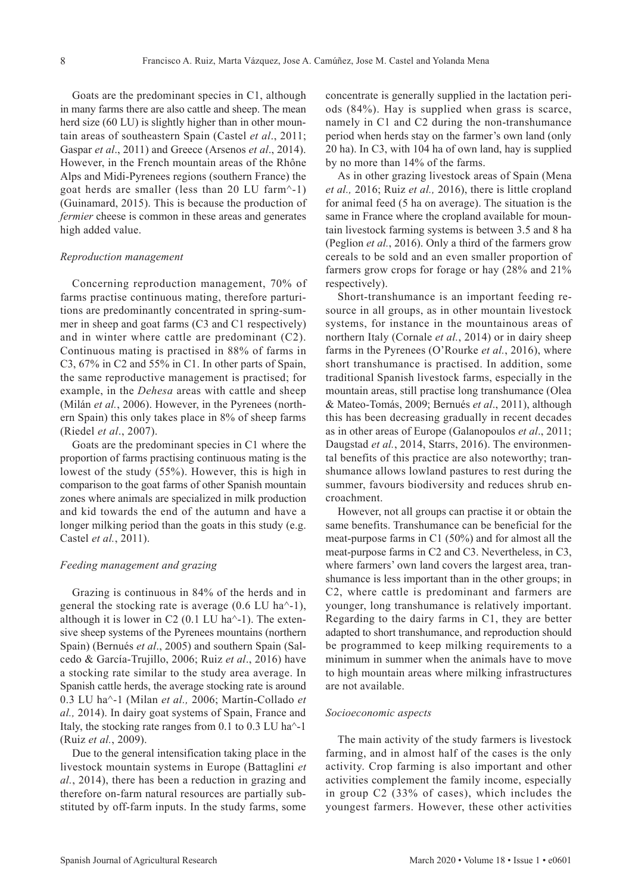Goats are the predominant species in C1, although in many farms there are also cattle and sheep. The mean herd size (60 LU) is slightly higher than in other mountain areas of southeastern Spain (Castel *et al*., 2011; Gaspar *et al*., 2011) and Greece (Arsenos *et al*., 2014). However, in the French mountain areas of the Rhône Alps and Midi-Pyrenees regions (southern France) the goat herds are smaller (less than 20 LU farm^-1) (Guinamard, 2015). This is because the production of *fermier* cheese is common in these areas and generates high added value.

#### *Reproduction management*

Concerning reproduction management, 70% of farms practise continuous mating, therefore parturitions are predominantly concentrated in spring-summer in sheep and goat farms (C3 and C1 respectively) and in winter where cattle are predominant (C2). Continuous mating is practised in 88% of farms in C3, 67% in C2 and 55% in C1. In other parts of Spain, the same reproductive management is practised; for example, in the *Dehesa* areas with cattle and sheep (Milán *et al.*, 2006). However, in the Pyrenees (northern Spain) this only takes place in 8% of sheep farms (Riedel *et al*., 2007).

Goats are the predominant species in C1 where the proportion of farms practising continuous mating is the lowest of the study (55%). However, this is high in comparison to the goat farms of other Spanish mountain zones where animals are specialized in milk production and kid towards the end of the autumn and have a longer milking period than the goats in this study (e.g. Castel *et al.*, 2011).

#### *Feeding management and grazing*

Grazing is continuous in 84% of the herds and in general the stocking rate is average (0.6 LU ha^-1), although it is lower in C2  $(0.1 \text{ LU ha}^{-1})$ . The extensive sheep systems of the Pyrenees mountains (northern Spain) (Bernués *et al*., 2005) and southern Spain (Salcedo & García-Trujillo, 2006; Ruiz *et al*., 2016) have a stocking rate similar to the study area average. In Spanish cattle herds, the average stocking rate is around 0.3 LU ha^-1 (Milan *et al.,* 2006; Martín-Collado *et al.,* 2014). In dairy goat systems of Spain, France and Italy, the stocking rate ranges from 0.1 to 0.3 LU ha^-1 (Ruiz *et al.*, 2009).

Due to the general intensification taking place in the livestock mountain systems in Europe (Battaglini *et al.*, 2014), there has been a reduction in grazing and therefore on-farm natural resources are partially substituted by off-farm inputs. In the study farms, some

concentrate is generally supplied in the lactation periods (84%). Hay is supplied when grass is scarce, namely in C1 and C2 during the non-transhumance period when herds stay on the farmer's own land (only 20 ha). In C3, with 104 ha of own land, hay is supplied by no more than 14% of the farms.

As in other grazing livestock areas of Spain (Mena *et al.,* 2016; Ruiz *et al.,* 2016), there is little cropland for animal feed (5 ha on average). The situation is the same in France where the cropland available for mountain livestock farming systems is between 3.5 and 8 ha (Peglion *et al.*, 2016). Only a third of the farmers grow cereals to be sold and an even smaller proportion of farmers grow crops for forage or hay (28% and 21% respectively).

Short-transhumance is an important feeding resource in all groups, as in other mountain livestock systems, for instance in the mountainous areas of northern Italy (Cornale *et al.*, 2014) or in dairy sheep farms in the Pyrenees (O'Rourke *et al.*, 2016), where short transhumance is practised. In addition, some traditional Spanish livestock farms, especially in the mountain areas, still practise long transhumance (Olea & Mateo-Tomás, 2009; Bernués *et al*., 2011), although this has been decreasing gradually in recent decades as in other areas of Europe (Galanopoulos *et al*., 2011; Daugstad *et al.*, 2014, Starrs, 2016). The environmental benefits of this practice are also noteworthy; transhumance allows lowland pastures to rest during the summer, favours biodiversity and reduces shrub encroachment.

However, not all groups can practise it or obtain the same benefits. Transhumance can be beneficial for the meat-purpose farms in C1 (50%) and for almost all the meat-purpose farms in C2 and C3. Nevertheless, in C3, where farmers' own land covers the largest area, transhumance is less important than in the other groups; in C2, where cattle is predominant and farmers are younger, long transhumance is relatively important. Regarding to the dairy farms in C1, they are better adapted to short transhumance, and reproduction should be programmed to keep milking requirements to a minimum in summer when the animals have to move to high mountain areas where milking infrastructures are not available.

#### *Socioeconomic aspects*

The main activity of the study farmers is livestock farming, and in almost half of the cases is the only activity. Crop farming is also important and other activities complement the family income, especially in group C2 (33% of cases), which includes the youngest farmers. However, these other activities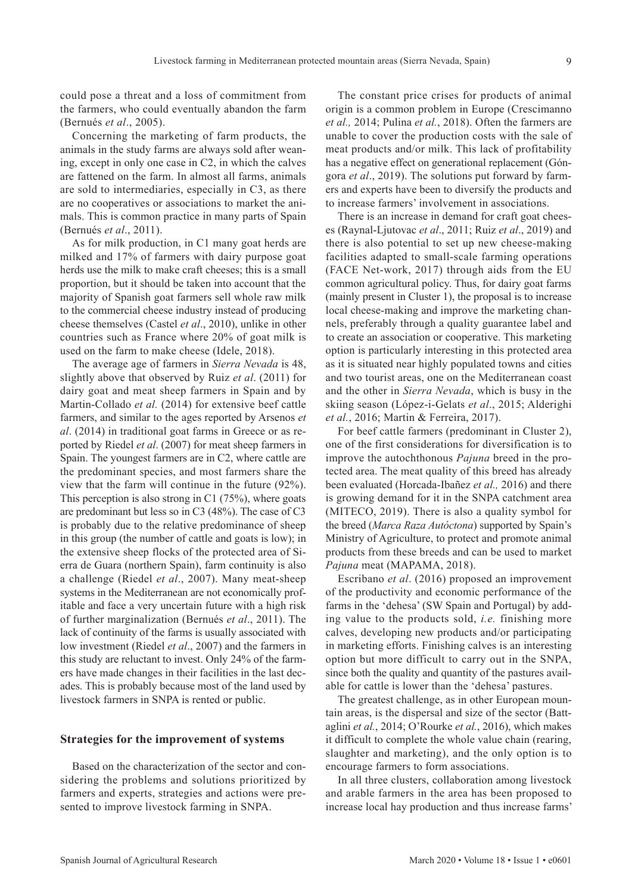could pose a threat and a loss of commitment from the farmers, who could eventually abandon the farm (Bernués *et al*., 2005).

Concerning the marketing of farm products, the animals in the study farms are always sold after weaning, except in only one case in C2, in which the calves are fattened on the farm. In almost all farms, animals are sold to intermediaries, especially in C3, as there are no cooperatives or associations to market the animals. This is common practice in many parts of Spain (Bernués *et al*., 2011).

As for milk production, in C1 many goat herds are milked and 17% of farmers with dairy purpose goat herds use the milk to make craft cheeses; this is a small proportion, but it should be taken into account that the majority of Spanish goat farmers sell whole raw milk to the commercial cheese industry instead of producing cheese themselves (Castel *et al*., 2010), unlike in other countries such as France where 20% of goat milk is used on the farm to make cheese (Idele, 2018).

The average age of farmers in *Sierra Nevada* is 48, slightly above that observed by Ruiz *et al*. (2011) for dairy goat and meat sheep farmers in Spain and by Martin-Collado *et al.* (2014) for extensive beef cattle farmers, and similar to the ages reported by Arsenos *et al*. (2014) in traditional goat farms in Greece or as reported by Riedel *et al*. (2007) for meat sheep farmers in Spain. The youngest farmers are in C2, where cattle are the predominant species, and most farmers share the view that the farm will continue in the future (92%). This perception is also strong in C1 (75%), where goats are predominant but less so in C3 (48%). The case of C3 is probably due to the relative predominance of sheep in this group (the number of cattle and goats is low); in the extensive sheep flocks of the protected area of Sierra de Guara (northern Spain), farm continuity is also a challenge (Riedel *et al*., 2007). Many meat-sheep systems in the Mediterranean are not economically profitable and face a very uncertain future with a high risk of further marginalization (Bernués *et al*., 2011). The lack of continuity of the farms is usually associated with low investment (Riedel *et al*., 2007) and the farmers in this study are reluctant to invest. Only 24% of the farmers have made changes in their facilities in the last decades. This is probably because most of the land used by livestock farmers in SNPA is rented or public.

### **Strategies for the improvement of systems**

Based on the characterization of the sector and considering the problems and solutions prioritized by farmers and experts, strategies and actions were presented to improve livestock farming in SNPA.

The constant price crises for products of animal origin is a common problem in Europe (Crescimanno *et al.,* 2014; Pulina *et al.*, 2018). Often the farmers are unable to cover the production costs with the sale of meat products and/or milk. This lack of profitability has a negative effect on generational replacement (Góngora *et al*., 2019). The solutions put forward by farmers and experts have been to diversify the products and to increase farmers' involvement in associations.

There is an increase in demand for craft goat cheeses (Raynal-Ljutovac *et al*., 2011; Ruiz *et al*., 2019) and there is also potential to set up new cheese-making facilities adapted to small-scale farming operations (FACE Net-work, 2017) through aids from the EU common agricultural policy. Thus, for dairy goat farms (mainly present in Cluster 1), the proposal is to increase local cheese-making and improve the marketing channels, preferably through a quality guarantee label and to create an association or cooperative. This marketing option is particularly interesting in this protected area as it is situated near highly populated towns and cities and two tourist areas, one on the Mediterranean coast and the other in *Sierra Nevada*, which is busy in the skiing season (López-i-Gelats *et al*., 2015; Alderighi *et al.*, 2016; Martin & Ferreira, 2017).

For beef cattle farmers (predominant in Cluster 2), one of the first considerations for diversification is to improve the autochthonous *Pajuna* breed in the protected area. The meat quality of this breed has already been evaluated (Horcada-Ibañez *et al.,* 2016) and there is growing demand for it in the SNPA catchment area (MITECO, 2019). There is also a quality symbol for the breed (*Marca Raza Autóctona*) supported by Spain's Ministry of Agriculture, to protect and promote animal products from these breeds and can be used to market *Pajuna* meat (MAPAMA, 2018).

Escribano *et al*. (2016) proposed an improvement of the productivity and economic performance of the farms in the 'dehesa' (SW Spain and Portugal) by adding value to the products sold, *i.e.* finishing more calves, developing new products and/or participating in marketing efforts. Finishing calves is an interesting option but more difficult to carry out in the SNPA, since both the quality and quantity of the pastures available for cattle is lower than the 'dehesa' pastures.

The greatest challenge, as in other European mountain areas, is the dispersal and size of the sector (Battaglini *et al.*, 2014; O'Rourke *et al.*, 2016), which makes it difficult to complete the whole value chain (rearing, slaughter and marketing), and the only option is to encourage farmers to form associations.

In all three clusters, collaboration among livestock and arable farmers in the area has been proposed to increase local hay production and thus increase farms'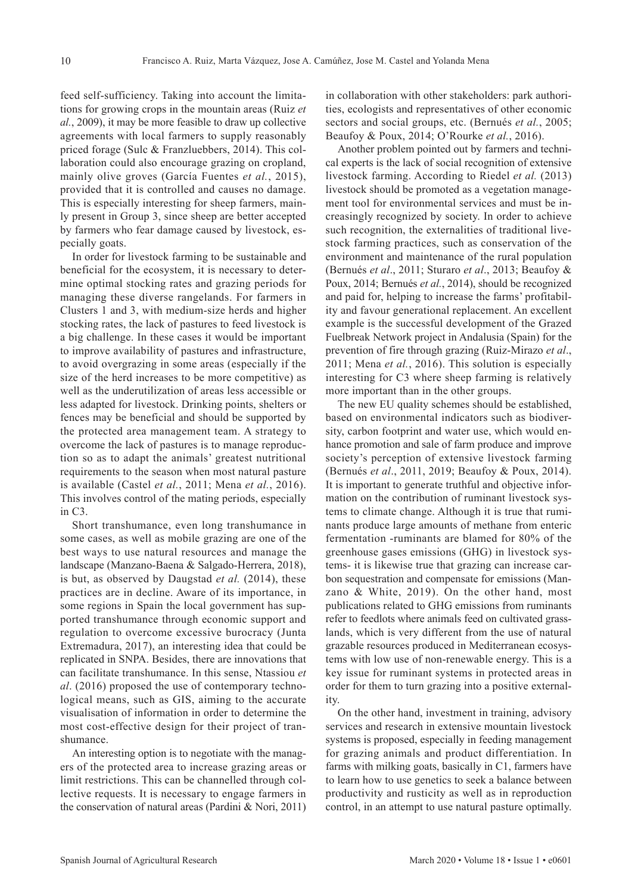feed self-sufficiency. Taking into account the limitations for growing crops in the mountain areas (Ruiz *et al.*, 2009), it may be more feasible to draw up collective agreements with local farmers to supply reasonably priced forage (Sulc & Franzluebbers, 2014). This collaboration could also encourage grazing on cropland, mainly olive groves (García Fuentes *et al.*, 2015), provided that it is controlled and causes no damage. This is especially interesting for sheep farmers, mainly present in Group 3, since sheep are better accepted by farmers who fear damage caused by livestock, especially goats.

In order for livestock farming to be sustainable and beneficial for the ecosystem, it is necessary to determine optimal stocking rates and grazing periods for managing these diverse rangelands. For farmers in Clusters 1 and 3, with medium-size herds and higher stocking rates, the lack of pastures to feed livestock is a big challenge. In these cases it would be important to improve availability of pastures and infrastructure, to avoid overgrazing in some areas (especially if the size of the herd increases to be more competitive) as well as the underutilization of areas less accessible or less adapted for livestock. Drinking points, shelters or fences may be beneficial and should be supported by the protected area management team. A strategy to overcome the lack of pastures is to manage reproduction so as to adapt the animals' greatest nutritional requirements to the season when most natural pasture is available (Castel *et al.*, 2011; Mena *et al.*, 2016). This involves control of the mating periods, especially in C3.

Short transhumance, even long transhumance in some cases, as well as mobile grazing are one of the best ways to use natural resources and manage the landscape (Manzano-Baena & Salgado-Herrera, 2018), is but, as observed by Daugstad *et al.* (2014), these practices are in decline. Aware of its importance, in some regions in Spain the local government has supported transhumance through economic support and regulation to overcome excessive burocracy (Junta Extremadura, 2017), an interesting idea that could be replicated in SNPA. Besides, there are innovations that can facilitate transhumance. In this sense, Ntassiou *et al*. (2016) proposed the use of contemporary technological means, such as GIS, aiming to the accurate visualisation of information in order to determine the most cost-effective design for their project of transhumance.

An interesting option is to negotiate with the managers of the protected area to increase grazing areas or limit restrictions. This can be channelled through collective requests. It is necessary to engage farmers in the conservation of natural areas (Pardini & Nori, 2011) in collaboration with other stakeholders: park authorities, ecologists and representatives of other economic sectors and social groups, etc. (Bernués *et al.*, 2005; Beaufoy & Poux, 2014; O'Rourke *et al.*, 2016).

Another problem pointed out by farmers and technical experts is the lack of social recognition of extensive livestock farming. According to Riedel *et al.* (2013) livestock should be promoted as a vegetation management tool for environmental services and must be increasingly recognized by society. In order to achieve such recognition, the externalities of traditional livestock farming practices, such as conservation of the environment and maintenance of the rural population (Bernués *et al*., 2011; Sturaro *et al*., 2013; Beaufoy & Poux, 2014; Bernués *et al.*, 2014), should be recognized and paid for, helping to increase the farms' profitability and favour generational replacement. An excellent example is the successful development of the Grazed Fuelbreak Network project in Andalusia (Spain) for the prevention of fire through grazing (Ruiz-Mirazo *et al*., 2011; Mena *et al.*, 2016). This solution is especially interesting for C3 where sheep farming is relatively more important than in the other groups.

The new EU quality schemes should be established, based on environmental indicators such as biodiversity, carbon footprint and water use, which would enhance promotion and sale of farm produce and improve society's perception of extensive livestock farming (Bernués *et al*., 2011, 2019; Beaufoy & Poux, 2014). It is important to generate truthful and objective information on the contribution of ruminant livestock systems to climate change. Although it is true that ruminants produce large amounts of methane from enteric fermentation -ruminants are blamed for 80% of the greenhouse gases emissions (GHG) in livestock systems- it is likewise true that grazing can increase carbon sequestration and compensate for emissions (Manzano & White, 2019). On the other hand, most publications related to GHG emissions from ruminants refer to feedlots where animals feed on cultivated grasslands, which is very different from the use of natural grazable resources produced in Mediterranean ecosystems with low use of non-renewable energy. This is a key issue for ruminant systems in protected areas in order for them to turn grazing into a positive externality.

On the other hand, investment in training, advisory services and research in extensive mountain livestock systems is proposed, especially in feeding management for grazing animals and product differentiation. In farms with milking goats, basically in C1, farmers have to learn how to use genetics to seek a balance between productivity and rusticity as well as in reproduction control, in an attempt to use natural pasture optimally.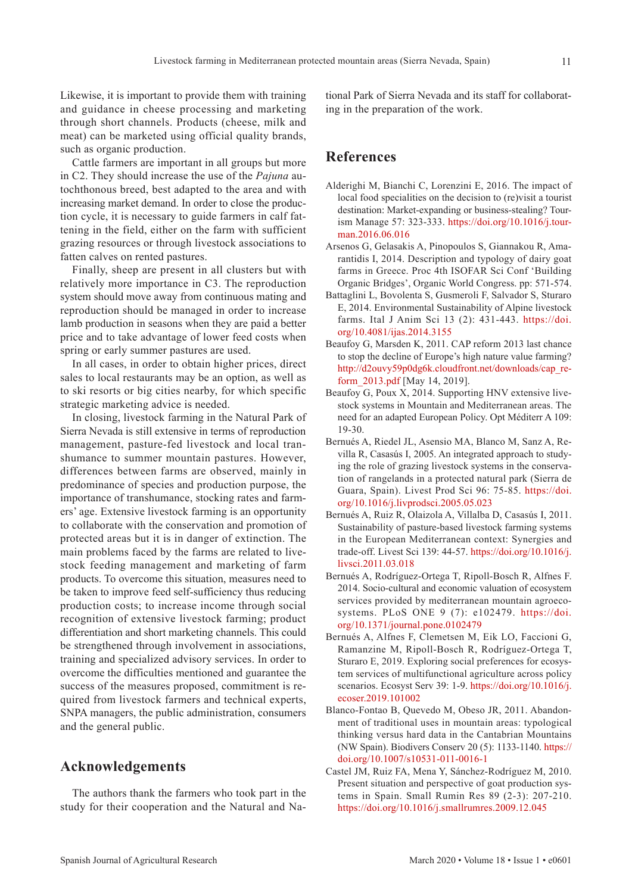Likewise, it is important to provide them with training and guidance in cheese processing and marketing through short channels. Products (cheese, milk and meat) can be marketed using official quality brands, such as organic production.

Cattle farmers are important in all groups but more in C2. They should increase the use of the *Pajuna* autochthonous breed, best adapted to the area and with increasing market demand. In order to close the production cycle, it is necessary to guide farmers in calf fattening in the field, either on the farm with sufficient grazing resources or through livestock associations to fatten calves on rented pastures.

Finally, sheep are present in all clusters but with relatively more importance in C3. The reproduction system should move away from continuous mating and reproduction should be managed in order to increase lamb production in seasons when they are paid a better price and to take advantage of lower feed costs when spring or early summer pastures are used.

In all cases, in order to obtain higher prices, direct sales to local restaurants may be an option, as well as to ski resorts or big cities nearby, for which specific strategic marketing advice is needed.

In closing, livestock farming in the Natural Park of Sierra Nevada is still extensive in terms of reproduction management, pasture-fed livestock and local transhumance to summer mountain pastures. However, differences between farms are observed, mainly in predominance of species and production purpose, the importance of transhumance, stocking rates and farmers' age. Extensive livestock farming is an opportunity to collaborate with the conservation and promotion of protected areas but it is in danger of extinction. The main problems faced by the farms are related to livestock feeding management and marketing of farm products. To overcome this situation, measures need to be taken to improve feed self-sufficiency thus reducing production costs; to increase income through social recognition of extensive livestock farming; product differentiation and short marketing channels. This could be strengthened through involvement in associations, training and specialized advisory services. In order to overcome the difficulties mentioned and guarantee the success of the measures proposed, commitment is required from livestock farmers and technical experts, SNPA managers, the public administration, consumers and the general public.

### **Acknowledgements**

The authors thank the farmers who took part in the study for their cooperation and the Natural and National Park of Sierra Nevada and its staff for collaborating in the preparation of the work.

## **References**

- Alderighi M, Bianchi C, Lorenzini E, 2016. The impact of local food specialities on the decision to (re)visit a tourist destination: Market-expanding or business-stealing? Tourism Manage 57: 323-333. [https://doi.org/10.1016/j.tour](https://doi.org/10.1016/j.tourman.2016.06.016)[man.2016.06.016](https://doi.org/10.1016/j.tourman.2016.06.016)
- Arsenos G, Gelasakis A, Pinopoulos S, Giannakou R, Amarantidis I, 2014. Description and typology of dairy goat farms in Greece. Proc 4th ISOFAR Sci Conf 'Building Organic Bridges', Organic World Congress. pp: 571-574.
- Battaglini L, Bovolenta S, Gusmeroli F, Salvador S, Sturaro E, 2014. Environmental Sustainability of Alpine livestock farms. Ital J Anim Sci 13 (2): 431-443. [https://doi.](https://doi.org/10.4081/ijas.2014.3155) [org/10.4081/ijas.2014.3155](https://doi.org/10.4081/ijas.2014.3155)
- Beaufoy G, Marsden K, 2011. CAP reform 2013 last chance to stop the decline of Europe's high nature value farming? [http://d2ouvy59p0dg6k.cloudfront.net/downloads/cap\\_re](http://d2ouvy59p0dg6k.cloudfront.net/downloads/cap_reform_2013.pdf)[form\\_2013.pdf](http://d2ouvy59p0dg6k.cloudfront.net/downloads/cap_reform_2013.pdf) [May 14, 2019].
- Beaufoy G, Poux X, 2014. Supporting HNV extensive livestock systems in Mountain and Mediterranean areas. The need for an adapted European Policy. Opt Méditerr A 109: 19-30.
- Bernués A, Riedel JL, Asensio MA, Blanco M, Sanz A, Revilla R, Casasús I, 2005. An integrated approach to studying the role of grazing livestock systems in the conservation of rangelands in a protected natural park (Sierra de Guara, Spain). Livest Prod Sci 96: 75-85. [https://doi.](https://doi.org/10.1016/j.livprodsci.2005.05.023) [org/10.1016/j.livprodsci.2005.05.023](https://doi.org/10.1016/j.livprodsci.2005.05.023)
- Bernués A, Ruiz R, Olaizola A, Villalba D, Casasús I, 2011. Sustainability of pasture-based livestock farming systems in the European Mediterranean context: Synergies and trade-off. Livest Sci 139: 44-57. [https://doi.org/10.1016/j.](https://doi.org/10.1016/j.livsci.2011.03.018) [livsci.2011.03.018](https://doi.org/10.1016/j.livsci.2011.03.018)
- Bernués A, Rodríguez-Ortega T, Ripoll-Bosch R, Alfnes F. 2014. Socio-cultural and economic valuation of ecosystem services provided by mediterranean mountain agroecosystems. PLoS ONE 9 (7): e102479. [https://doi.](https://doi.org/10.1371/journal.pone.0102479) [org/10.1371/journal.pone.0102479](https://doi.org/10.1371/journal.pone.0102479)
- Bernués A, Alfnes F, Clemetsen M, Eik LO, Faccioni G, Ramanzine M, Ripoll-Bosch R, Rodríguez-Ortega T, Sturaro E, 2019. Exploring social preferences for ecosystem services of multifunctional agriculture across policy scenarios. Ecosyst Serv 39: 1-9. [https://doi.org/10.1016/j.](https://doi.org/10.1016/j.ecoser.2019.101002) [ecoser.2019.101002](https://doi.org/10.1016/j.ecoser.2019.101002)
- Blanco-Fontao B, Quevedo M, Obeso JR, 2011. Abandonment of traditional uses in mountain areas: typological thinking versus hard data in the Cantabrian Mountains (NW Spain). Biodivers Conserv 20 (5): 1133-1140. [https://](https://doi.org/10.1007/s10531-011-0016-1) [doi.org/10.1007/s10531-011-0016-1](https://doi.org/10.1007/s10531-011-0016-1)
- Castel JM, Ruiz FA, Mena Y, Sánchez-Rodríguez M, 2010. Present situation and perspective of goat production systems in Spain. Small Rumin Res 89 (2-3): 207-210. <https://doi.org/10.1016/j.smallrumres.2009.12.045>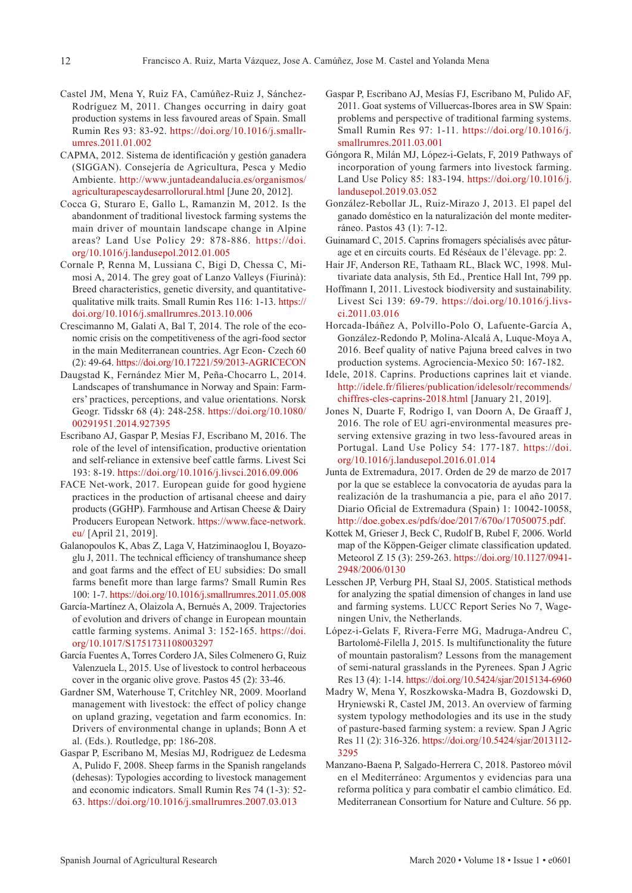- Castel JM, Mena Y, Ruiz FA, Camúñez-Ruiz J, Sánchez-Rodríguez M, 2011. Changes occurring in dairy goat production systems in less favoured areas of Spain. Small Rumin Res 93: 83-92. [https://doi.org/10.1016/j.smallr](https://doi.org/10.1016/j.smallrumres.2011.01.002)[umres.2011.01.002](https://doi.org/10.1016/j.smallrumres.2011.01.002)
- CAPMA, 2012. Sistema de identificación y gestión ganadera (SIGGAN). Consejería de Agricultura, Pesca y Medio Ambiente. [http://www.juntadeandalucia.es/organismos/](http://www.juntadeandalucia.es/organismos/agriculturapescaydesarrollorural.html) [agriculturapescaydesarrollorural.html](http://www.juntadeandalucia.es/organismos/agriculturapescaydesarrollorural.html) [June 20, 2012].
- Cocca G, Sturaro E, Gallo L, Ramanzin M, 2012. Is the abandonment of traditional livestock farming systems the main driver of mountain landscape change in Alpine areas? Land Use Policy 29: 878-886. [https://doi.](https://doi.org/10.1016/j.landusepol.2012.01.005) [org/10.1016/j.landusepol.2012.01.005](https://doi.org/10.1016/j.landusepol.2012.01.005)
- Cornale P, Renna M, Lussiana C, Bigi D, Chessa C, Mimosi A, 2014. The grey goat of Lanzo Valleys (Fiurinà): Breed characteristics, genetic diversity, and quantitativequalitative milk traits. Small Rumin Res 116: 1-13. [https://](https://doi.org/10.1016/j.smallrumres.2013.10.006) [doi.org/10.1016/j.smallrumres.2013.10.006](https://doi.org/10.1016/j.smallrumres.2013.10.006)
- Crescimanno M, Galati A, Bal T, 2014. The role of the economic crisis on the competitiveness of the agri-food sector in the main Mediterranean countries. Agr Econ- Czech 60 (2): 49-64. <https://doi.org/10.17221/59/2013-AGRICECON>
- Daugstad K, Fernández Mier M, Peña-Chocarro L, 2014. Landscapes of transhumance in Norway and Spain: Farmers' practices, perceptions, and value orientations. Norsk Geogr. Tidsskr 68 (4): 248-258. [https://doi.org/10.1080/](https://doi.org/10.1080/00291951.2014.927395) [00291951.2014.927395](https://doi.org/10.1080/00291951.2014.927395)
- Escribano AJ, Gaspar P, Mesías FJ, Escribano M, 2016. The role of the level of intensification, productive orientation and self-reliance in extensive beef cattle farms. Livest Sci 193: 8-19. <https://doi.org/10.1016/j.livsci.2016.09.006>
- FACE Net-work, 2017. European guide for good hygiene practices in the production of artisanal cheese and dairy products (GGHP). Farmhouse and Artisan Cheese & Dairy Producers European Network. [https://www.face-network.](https://www.face-network.eu/) [eu/](https://www.face-network.eu/) [April 21, 2019].
- Galanopoulos K, Abas Z, Laga V, Hatziminaoglou I, Boyazoglu J, 2011. The technical efficiency of transhumance sheep and goat farms and the effect of EU subsidies: Do small farms benefit more than large farms? Small Rumin Res 100: 1-7.<https://doi.org/10.1016/j.smallrumres.2011.05.008>
- García-Martínez A, Olaizola A, Bernués A, 2009. Trajectories of evolution and drivers of change in European mountain cattle farming systems. Animal 3: 152-165. [https://doi.](https://doi.org/10.1017/S1751731108003297) [org/10.1017/S1751731108003297](https://doi.org/10.1017/S1751731108003297)
- García Fuentes A, Torres Cordero JA, Siles Colmenero G, Ruiz Valenzuela L, 2015. Use of livestock to control herbaceous cover in the organic olive grove. Pastos 45 (2): 33-46.
- Gardner SM, Waterhouse T, Critchley NR, 2009. Moorland management with livestock: the effect of policy change on upland grazing, vegetation and farm economics. In: Drivers of environmental change in uplands; Bonn A et al. (Eds.). Routledge, pp: 186-208.
- Gaspar P, Escribano M, Mesías MJ, Rodriguez de Ledesma A, Pulido F, 2008. Sheep farms in the Spanish rangelands (dehesas): Typologies according to livestock management and economic indicators. Small Rumin Res 74 (1-3): 52- 63. <https://doi.org/10.1016/j.smallrumres.2007.03.013>
- Gaspar P, Escribano AJ, Mesías FJ, Escribano M, Pulido AF, 2011. Goat systems of Villuercas-Ibores area in SW Spain: problems and perspective of traditional farming systems. Small Rumin Res 97: 1-11. [https://doi.org/10.1016/j.](https://doi.org/10.1016/j.smallrumres.2011.03.001) [smallrumres.2011.03.001](https://doi.org/10.1016/j.smallrumres.2011.03.001)
- Góngora R, Milán MJ, López-i-Gelats, F, 2019 Pathways of incorporation of young farmers into livestock farming. Land Use Policy 85: 183-194. [https://doi.org/10.1016/j.](https://doi.org/10.1016/j.landusepol.2019.03.052) [landusepol.2019.03.052](https://doi.org/10.1016/j.landusepol.2019.03.052)
- González-Rebollar JL, Ruiz-Mirazo J, 2013. El papel del ganado doméstico en la naturalización del monte mediterráneo. Pastos 43 (1): 7-12.
- Guinamard C, 2015. Caprins fromagers spécialisés avec pâturage et en circuits courts. Ed Réséaux de l'élevage. pp: 2.
- Hair JF, Anderson RE, Tathaam RL, Black WC, 1998. Multivariate data analysis, 5th Ed., Prentice Hall Int, 799 pp.
- Hoffmann I, 2011. Livestock biodiversity and sustainability. Livest Sci 139: 69-79. [https://doi.org/10.1016/j.livs](https://doi.org/10.1016/j.livsci.2011.03.016)[ci.2011.03.016](https://doi.org/10.1016/j.livsci.2011.03.016)
- Horcada-Ibáñez A, Polvillo-Polo O, Lafuente-García A, González-Redondo P, Molina-Alcalá A, Luque-Moya A, 2016. Beef quality of native Pajuna breed calves in two production systems. Agrociencia-Mexico 50: 167-182.
- Idele, 2018. Caprins. Productions caprines lait et viande. [http://idele.fr/filieres/publication/idelesolr/recommends/](http://idele.fr/filieres/publication/idelesolr/recommends/chiffres-cles-caprins-2018.html) [chiffres-cles-caprins-2018.html](http://idele.fr/filieres/publication/idelesolr/recommends/chiffres-cles-caprins-2018.html) [January 21, 2019].
- Jones N, Duarte F, Rodrigo I, van Doorn A, De Graaff J, 2016. The role of EU agri-environmental measures preserving extensive grazing in two less-favoured areas in Portugal. Land Use Policy 54: 177-187. [https://doi.](https://doi.org/10.1016/j.landusepol.2016.01.014) [org/10.1016/j.landusepol.2016.01.014](https://doi.org/10.1016/j.landusepol.2016.01.014)
- Junta de Extremadura, 2017. Orden de 29 de marzo de 2017 por la que se establece la convocatoria de ayudas para la realización de la trashumancia a pie, para el año 2017. Diario Oficial de Extremadura (Spain) 1: 10042-10058, [http://doe.gobex.es/pdfs/doe/2017/670o/17050075.pdf.](http://doe.gobex.es/pdfs/doe/2017/670o/17050075.pdf)
- Kottek M, Grieser J, Beck C, Rudolf B, Rubel F, 2006. World map of the Köppen-Geiger climate classification updated. Meteorol Z 15 (3): 259-263. [https://doi.org/10.1127/0941-](https://doi.org/10.1127/0941-2948/2006/0130) [2948/2006/0130](https://doi.org/10.1127/0941-2948/2006/0130)
- Lesschen JP, Verburg PH, Staal SJ, 2005. Statistical methods for analyzing the spatial dimension of changes in land use and farming systems. LUCC Report Series No 7, Wageningen Univ, the Netherlands.
- López-i-Gelats F, Rivera-Ferre MG, Madruga-Andreu C, Bartolomé-Filella J, 2015. Is multifunctionality the future of mountain pastoralism? Lessons from the management of semi-natural grasslands in the Pyrenees. Span J Agric Res 13 (4): 1-14. <https://doi.org/10.5424/sjar/2015134-6960>
- Madry W, Mena Y, Roszkowska-Madra B, Gozdowski D, Hryniewski R, Castel JM, 2013. An overview of farming system typology methodologies and its use in the study of pasture-based farming system: a review. Span J Agric Res 11 (2): 316-326. [https://doi.org/10.5424/sjar/2013112-](https://doi.org/10.5424/sjar/2013112-3295) [3295](https://doi.org/10.5424/sjar/2013112-3295)
- Manzano-Baena P, Salgado-Herrera C, 2018. Pastoreo móvil en el Mediterráneo: Argumentos y evidencias para una reforma política y para combatir el cambio climático. Ed. Mediterranean Consortium for Nature and Culture. 56 pp.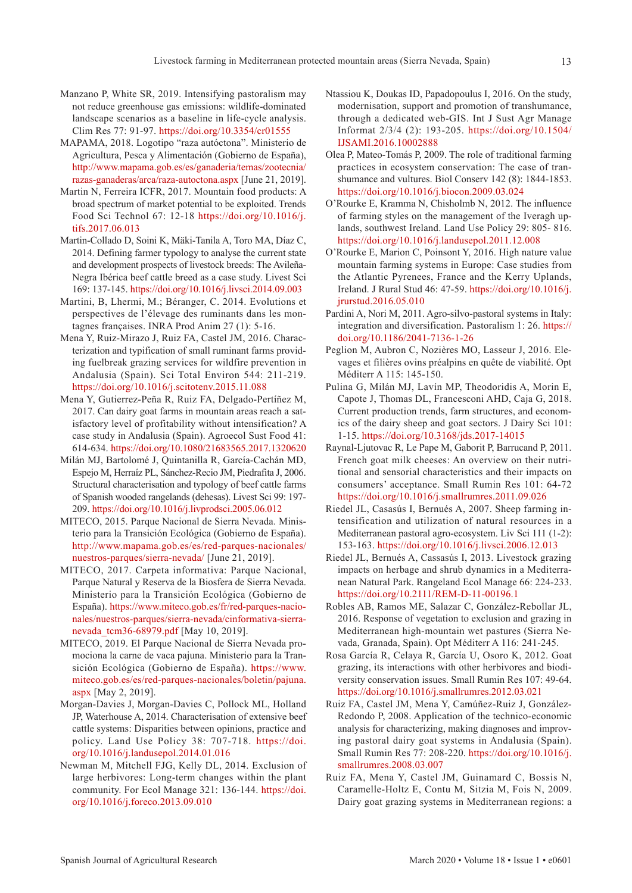- Manzano P, White SR, 2019. Intensifying pastoralism may not reduce greenhouse gas emissions: wildlife-dominated landscape scenarios as a baseline in life-cycle analysis. Clim Res 77: 91-97. <https://doi.org/10.3354/cr01555>
- MAPAMA, 2018. Logotipo "raza autóctona". Ministerio de Agricultura, Pesca y Alimentación (Gobierno de España), [http://www.mapama.gob.es/es/ganaderia/temas/zootecnia/](http://www.mapama.gob.es/es/ganaderia/temas/zootecnia/razas-ganaderas/arca/raza-autoctona.aspx) [razas-ganaderas/arca/raza-autoctona.aspx](http://www.mapama.gob.es/es/ganaderia/temas/zootecnia/razas-ganaderas/arca/raza-autoctona.aspx) [June 21, 2019].
- Martin N, Ferreira ICFR, 2017. Mountain food products: A broad spectrum of market potential to be exploited. Trends Food Sci Technol 67: 12-18 [https://doi.org/10.1016/j.](https://doi.org/10.1016/j.tifs.2017.06.013) [tifs.2017.06.013](https://doi.org/10.1016/j.tifs.2017.06.013)
- Martin-Collado D, Soini K, Mäki-Tanila A, Toro MA, Díaz C, 2014. Defining farmer typology to analyse the current state and development prospects of livestock breeds: The Avileña-Negra Ibérica beef cattle breed as a case study. Livest Sci 169: 137-145. <https://doi.org/10.1016/j.livsci.2014.09.003>
- Martini, B, Lhermi, M.; Béranger, C. 2014. Evolutions et perspectives de l'élevage des ruminants dans les montagnes françaises. INRA Prod Anim 27 (1): 5-16.
- Mena Y, Ruiz-Mirazo J, Ruiz FA, Castel JM, 2016. Characterization and typification of small ruminant farms providing fuelbreak grazing services for wildfire prevention in Andalusia (Spain). Sci Total Environ 544: 211-219. <https://doi.org/10.1016/j.scitotenv.2015.11.088>
- Mena Y, Gutierrez-Peña R, Ruiz FA, Delgado-Pertíñez M, 2017. Can dairy goat farms in mountain areas reach a satisfactory level of profitability without intensification? A case study in Andalusia (Spain). Agroecol Sust Food 41: 614-634.<https://doi.org/10.1080/21683565.2017.1320620>
- Milán MJ, Bartolomé J, Quintanilla R, García-Cachán MD, Espejo M, Herraíz PL, Sánchez-Recio JM, Piedrafita J, 2006. Structural characterisation and typology of beef cattle farms of Spanish wooded rangelands (dehesas). Livest Sci 99: 197- 209. <https://doi.org/10.1016/j.livprodsci.2005.06.012>
- MITECO, 2015. Parque Nacional de Sierra Nevada. Ministerio para la Transición Ecológica (Gobierno de España). [http://www.mapama.gob.es/es/red-parques-nacionales/](http://www.mapama.gob.es/es/red-parques-nacionales/nuestros-parques/sierra-nevada/) [nuestros-parques/sierra-nevada/](http://www.mapama.gob.es/es/red-parques-nacionales/nuestros-parques/sierra-nevada/) [June 21, 2019].
- MITECO, 2017. Carpeta informativa: Parque Nacional, Parque Natural y Reserva de la Biosfera de Sierra Nevada. Ministerio para la Transición Ecológica (Gobierno de España). [https://www.miteco.gob.es/fr/red-parques-nacio](https://www.miteco.gob.es/fr/red-parques-nacionales/nuestros-parques/sierra-nevada/cinformativa-sierra-nevada_tcm36-68979.pdf)[nales/nuestros-parques/sierra-nevada/cinformativa-sierra](https://www.miteco.gob.es/fr/red-parques-nacionales/nuestros-parques/sierra-nevada/cinformativa-sierra-nevada_tcm36-68979.pdf)[nevada\\_tcm36-68979.pdf](https://www.miteco.gob.es/fr/red-parques-nacionales/nuestros-parques/sierra-nevada/cinformativa-sierra-nevada_tcm36-68979.pdf) [May 10, 2019].
- MITECO, 2019. El Parque Nacional de Sierra Nevada promociona la carne de vaca pajuna. Ministerio para la Transición Ecológica (Gobierno de España). [https://www.](https://www.miteco.gob.es/es/red-parques-nacionales/boletin/pajuna.aspx) [miteco.gob.es/es/red-parques-nacionales/boletin/pajuna.](https://www.miteco.gob.es/es/red-parques-nacionales/boletin/pajuna.aspx) [aspx](https://www.miteco.gob.es/es/red-parques-nacionales/boletin/pajuna.aspx) [May 2, 2019].
- Morgan-Davies J, Morgan-Davies C, Pollock ML, Holland JP, Waterhouse A, 2014. Characterisation of extensive beef cattle systems: Disparities between opinions, practice and policy. Land Use Policy 38: 707-718. [https://doi.](https://doi.org/10.1016/j.landusepol.2014.01.016) [org/10.1016/j.landusepol.2014.01.016](https://doi.org/10.1016/j.landusepol.2014.01.016)
- Newman M, Mitchell FJG, Kelly DL, 2014. Exclusion of large herbivores: Long-term changes within the plant community. For Ecol Manage 321: 136-144. [https://doi.](https://doi.org/10.1016/j.foreco.2013.09.010) [org/10.1016/j.foreco.2013.09.010](https://doi.org/10.1016/j.foreco.2013.09.010)
- Ntassiou K, Doukas ID, Papadopoulus I, 2016. On the study, modernisation, support and promotion of transhumance, through a dedicated web-GIS. Int J Sust Agr Manage Informat 2/3/4 (2): 193-205. [https://doi.org/10.1504/](https://doi.org/10.1504/IJSAMI.2016.10002888) [IJSAMI.2016.10002888](https://doi.org/10.1504/IJSAMI.2016.10002888)
- Olea P, Mateo-Tomás P, 2009. The role of traditional farming practices in ecosystem conservation: The case of transhumance and vultures. Biol Conserv 142 (8): 1844-1853. <https://doi.org/10.1016/j.biocon.2009.03.024>
- O'Rourke E, Kramma N, Chisholmb N, 2012. The influence of farming styles on the management of the Iveragh uplands, southwest Ireland. Land Use Policy 29: 805- 816. <https://doi.org/10.1016/j.landusepol.2011.12.008>
- O'Rourke E, Marion C, Poinsont Y, 2016. High nature value mountain farming systems in Europe: Case studies from the Atlantic Pyrenees, France and the Kerry Uplands, Ireland. J Rural Stud 46: 47-59. [https://doi.org/10.1016/j.](https://doi.org/10.1016/j.jrurstud.2016.05.010) [jrurstud.2016.05.010](https://doi.org/10.1016/j.jrurstud.2016.05.010)
- Pardini A, Nori M, 2011. Agro-silvo-pastoral systems in Italy: integration and diversification. Pastoralism 1: 26. [https://](https://doi.org/10.1186/2041-7136-1-26) [doi.org/10.1186/2041-7136-1-26](https://doi.org/10.1186/2041-7136-1-26)
- Peglion M, Aubron C, Nozières MO, Lasseur J, 2016. Elevages et filières ovins préalpins en quête de viabilité. Opt Méditerr A 115: 145-150.
- Pulina G, Milán MJ, Lavín MP, Theodoridis A, Morin E, Capote J, Thomas DL, Francesconi AHD, Caja G, 2018. Current production trends, farm structures, and economics of the dairy sheep and goat sectors. J Dairy Sci 101: 1-15. <https://doi.org/10.3168/jds.2017-14015>
- Raynal-Ljutovac R, Le Pape M, Gaborit P, Barrucand P, 2011. French goat milk cheeses: An overview on their nutritional and sensorial characteristics and their impacts on consumers' acceptance. Small Rumin Res 101: 64-72 <https://doi.org/10.1016/j.smallrumres.2011.09.026>
- Riedel JL, Casasús I, Bernués A, 2007. Sheep farming intensification and utilization of natural resources in a Mediterranean pastoral agro-ecosystem. Liv Sci 111 (1-2): 153-163. <https://doi.org/10.1016/j.livsci.2006.12.013>
- Riedel JL, Bernués A, Cassasús I, 2013. Livestock grazing impacts on herbage and shrub dynamics in a Mediterranean Natural Park. Rangeland Ecol Manage 66: 224-233. <https://doi.org/10.2111/REM-D-11-00196.1>
- Robles AB, Ramos ME, Salazar C, González-Rebollar JL, 2016. Response of vegetation to exclusion and grazing in Mediterranean high-mountain wet pastures (Sierra Nevada, Granada, Spain). Opt Méditerr A 116: 241-245.
- Rosa García R, Celaya R, García U, Osoro K, 2012. Goat grazing, its interactions with other herbivores and biodiversity conservation issues. Small Rumin Res 107: 49-64. <https://doi.org/10.1016/j.smallrumres.2012.03.021>
- Ruiz FA, Castel JM, Mena Y, Camúñez-Ruiz J, González-Redondo P, 2008. Application of the technico-economic analysis for characterizing, making diagnoses and improving pastoral dairy goat systems in Andalusia (Spain). Small Rumin Res 77: 208-220. [https://doi.org/10.1016/j.](https://doi.org/10.1016/j.smallrumres.2008.03.007) [smallrumres.2008.03.007](https://doi.org/10.1016/j.smallrumres.2008.03.007)
- Ruiz FA, Mena Y, Castel JM, Guinamard C, Bossis N, Caramelle-Holtz E, Contu M, Sitzia M, Fois N, 2009. Dairy goat grazing systems in Mediterranean regions: a